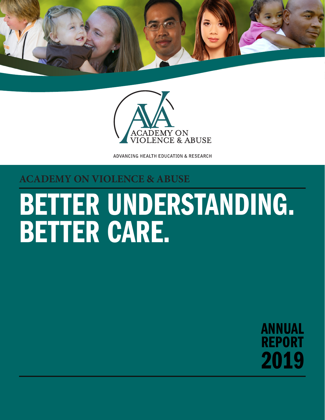



ADVANCING HEALTH EDUCATION & RESEARCH

### **ACADEMY ON VIOLENCE & ABUSE**

# BETTER UNDERSTANDING. BETTER CARE.

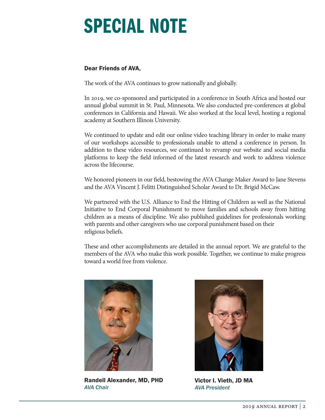## SPECIAL NOTE

#### Dear Friends of AVA**,**

The work of the AVA continues to grow nationally and globally.

In 2019, we co-sponsored and participated in a conference in South Africa and hosted our annual global summit in St. Paul, Minnesota. We also conducted pre-conferences at global conferences in California and Hawaii. We also worked at the local level, hosting a regional academy at Southern Illinois University.

We continued to update and edit our online video teaching library in order to make many of our workshops accessible to professionals unable to attend a conference in person. In addition to these video resources, we continued to revamp our website and social media platforms to keep the field informed of the latest research and work to address violence across the lifecourse.

We honored pioneers in our field, bestowing the AVA Change Maker Award to Jane Stevens and the AVA Vincent J. Felitti Distinguished Scholar Award to Dr. Brigid McCaw.

We partnered with the U.S. Alliance to End the Hitting of Children as well as the National Initiative to End Corporal Punishment to move families and schools away from hitting children as a means of discipline. We also published guidelines for professionals working with parents and other caregivers who use corporal punishment based on their religious beliefs.

These and other accomplishments are detailed in the annual report. We are grateful to the members of the AVA who make this work possible. Together, we continue to make progress toward a world free from violence.



Randell Alexander, MD, PHD *AVA Chair*



Victor I. Vieth, JD MA *AVA President*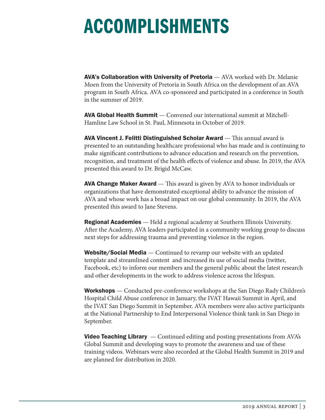## ACCOMPLISHMENTS

AVA's Collaboration with University of Pretoria — AVA worked with Dr. Melanie Moen from the University of Pretoria in South Africa on the development of an AVA program in South Africa. AVA co-sponsored and participated in a conference in South in the summer of 2019.

AVA Global Health Summit — Convened our international summit at Mitchell-Hamline Law School in St. Paul, Minnesota in October of 2019.

AVA Vincent J. Felitti Distinguished Scholar Award — This annual award is presented to an outstanding healthcare professional who has made and is continuing to make significant contributions to advance education and research on the prevention, recognition, and treatment of the health effects of violence and abuse. In 2019, the AVA presented this award to Dr. Brigid McCaw.

**AVA Change Maker Award** — This award is given by AVA to honor individuals or organizations that have demonstrated exceptional ability to advance the mission of AVA and whose work has a broad impact on our global community. In 2019, the AVA presented this award to Jane Stevens.

**Regional Academies** — Held a regional academy at Southern Illinois University. After the Academy, AVA leaders participated in a community working group to discuss next steps for addressing trauma and preventing violence in the region.

**Website/Social Media** — Continued to revamp our website with an updated template and streamlined content and increased its use of social media (twitter, Facebook, etc) to inform our members and the general public about the latest research and other developments in the work to address violence across the lifespan.

**Workshops** — Conducted pre-conference workshops at the San Diego Rady Children's Hospital Child Abuse conference in January, the IVAT Hawaii Summit in April, and the IVAT San Diego Summit in September. AVA members were also active participants at the National Partnership to End Interpersonal Violence think tank in San Diego in September.

**Video Teaching Library**  $\sim$  Continued editing and posting presentations from AVA's Global Summit and developing ways to promote the awareness and use of these training videos. Webinars were also recorded at the Global Health Summit in 2019 and are planned for distribution in 2020.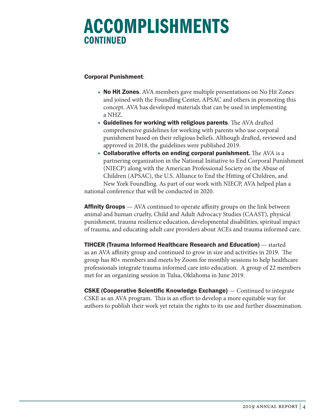### ACCOMPLISHMENTS CONTINUED

#### Corporal Punishment:

- No Hit Zones. AVA members gave multiple presentations on No Hit Zones and joined with the Foundling Center, APSAC and others in promoting this concept. AVA has developed materials that can be used in implementing a NHZ.
- Guidelines for working with religious parents. The AVA drafted comprehensive guidelines for working with parents who use corporal punishment based on their religious beliefs. Although drafted, reviewed and approved in 2018, the guidelines were published 2019.
- Collaborative efforts on ending corporal punishment. The AVA is a partnering organization in the National Initiative to End Corporal Punishment (NIECP) along with the American Professional Society on the Abuse of Children (APSAC), the U.S. Alliance to End the Hitting of Children, and New York Foundling. As part of our work with NIECP, AVA helped plan a

national conference that will be conducted in 2020.

**Affinity Groups** — AVA continued to operate affinity groups on the link between animal and human cruelty, Child and Adult Advocacy Studies (CAAST), physical punishment, trauma resilience education, developmental disabilities, spiritual impact of trauma, and educating adult care providers about ACEs and trauma informed care.

TIHCER (Trauma Informed Healthcare Research and Education) — started as an AVA affinity group and continued to grow in size and activities in 2019. The group has 80+ members and meets by Zoom for monthly sessions to help healthcare professionals integrate trauma informed care into education. A group of 22 members met for an organizing session in Tulsa, Oklahoma in June 2019.

**CSKE (Cooperative Scientific Knowledge Exchange)** — Continued to integrate CSKE as an AVA program. This is an effort to develop a more equitable way for authors to publish their work yet retain the rights to its use and further dissemination.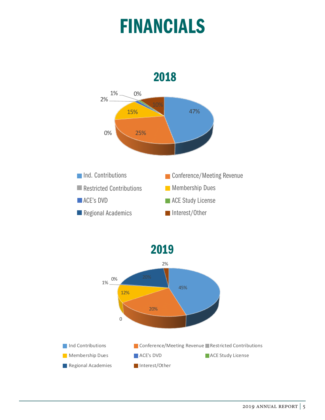## FINANCIALS



2019 2019

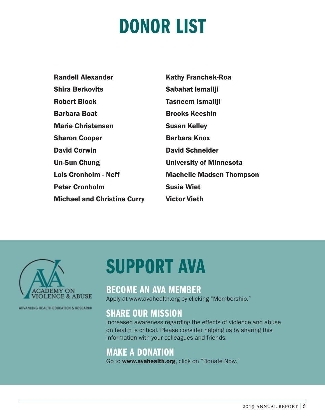## DONOR LIST

| <b>Randell Alexander</b>           | <b>Kathy Franchek-Roa</b>       |
|------------------------------------|---------------------------------|
| <b>Shira Berkovits</b>             | Sabahat Ismailji                |
| <b>Robert Block</b>                | Tasneem Ismailji                |
| <b>Barbara Boat</b>                | <b>Brooks Keeshin</b>           |
| <b>Marie Christensen</b>           | <b>Susan Kelley</b>             |
| <b>Sharon Cooper</b>               | <b>Barbara Knox</b>             |
| <b>David Corwin</b>                | <b>David Schneider</b>          |
| <b>Un-Sun Chung</b>                | <b>University of Minnesota</b>  |
| <b>Lois Cronholm - Neff</b>        | <b>Machelle Madsen Thompson</b> |
| <b>Peter Cronholm</b>              | <b>Susie Wiet</b>               |
| <b>Michael and Christine Curry</b> | <b>Victor Vieth</b>             |



ADVANCING HEALTH EDUCATION & RESEARCH

## SUPPORT AVA

### BECOME AN AVA MEMBER

Apply at www.avahealth.org by clicking "Membership."

### SHARE OUR MISSION

Increased awareness regarding the effects of violence and abuse on health is critical. Please consider helping us by sharing this information with your colleagues and friends.

### MAKE A DONATION

Go to www.avahealth.org, click on "Donate Now."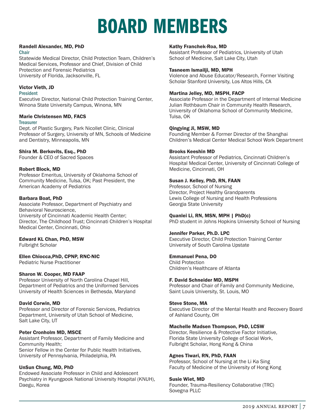## BOARD MEMBERS

#### Randell Alexander, MD, PhD

#### **Chair**

Statewide Medical Director, Child Protection Team, Children's Medical Services, Professor and Chief, Division of Child Protection and Forensic Pediatrics University of Florida, Jacksonville, FL

#### Victor Vieth, JD

#### President

Executive Director, National Child Protection Training Center, Winona State University Campus, Winona, MN

#### Marie Christensen MD, FACS

#### **Treasurer**

Dept. of Plastic Surgery, Park Nicollet Clinic, Clinical Professor of Surgery, University of MN, Schools of Medicine and Dentistry, Minneapolis, MN

#### Shira M. Berkovits, Esq., PhD

Founder & CEO of Sacred Spaces

#### Robert Block, MD

Professor Emeritus, University of Oklahoma School of Community Medicine, Tulsa, OK; Past President, the American Academy of Pediatrics

#### Barbara Boat, PhD

Associate Professor, Department of Psychiatry and Behavioral Neuroscience, University of Cincinnati Academic Health Center; Director, The Childhood Trust; Cincinnati Children's Hospital Medical Center, Cincinnati, Ohio

#### Edward KL Chan, PhD, MSW

Fulbright Scholar

#### Ellen Chiocca,PhD, CPNP, RNC-NIC

Pediatric Nurse Practitioner

#### Sharon W. Cooper, MD FAAP

Professor University of North Carolina Chapel Hill, Department of Pediatrics and the Uniformed Services University of Health Sciences in Bethesda, Maryland

#### David Corwin, MD

Professor and Director of Forensic Services, Pediatrics Department, University of Utah School of Medicine, Salt Lake City, UT

#### Peter Cronholm MD, MSCE

Assistant Professor, Department of Family Medicine and Community Health; Senior Fellow in the Center for Public Health Initiatives, University of Pennsylvania, Philadelphia, PA

#### UnSun Chung, MD, PhD

Endowed Associate Professor in Child and Adolescent Psychiatry in Kyungpook National University Hospital (KNUH), Daegu, Korea

#### Kathy Franchek-Roa, MD

Assistant Professor of Pediatrics, University of Utah School of Medicine, Salt Lake City, Utah

#### Tasneem Ismailji, MD, MPH

Violence and Abuse Educator/Research, Former Visiting Scholar Stanford University, Los Altos Hills, CA

#### Martina Jelley, MD, MSPH, FACP

Associate Professor in the Department of Internal Medicine Julian Rothbaum Chair in Community Health Research, University of Oklahoma School of Community Medicine, Tulsa, OK

#### Qingying Ji, MSW, MD

Founding Member & Former Director of the Shanghai Children's Medical Center Medical School Work Department

#### Brooks Keeshin MD

Assistant Professor of Pediatrics, Cincinnati Children's Hospital Medical Center, University of Cincinnati College of Medicine, Cincinnati, OH

#### Susan J. Kelley, PhD, RN, FAAN

Professor, School of Nursing Director, Project Healthy Grandparents Lewis College of Nursing and Health Professions Georgia State University

#### Quanlei Li, RN, MSN, MPH | PhD(c)

PhD student in Johns Hopkins University School of Nursing

#### Jennifer Parker, Ph.D. LPC

Executive Director, Child Protection Training Center University of South Carolina Upstate

#### Emmanuel Pena, DO

Child Protection Children's Healthcare of Atlanta

#### F. David Schneider MD, MSPH

Professor and Chair of Family and Community Medicine, Saint Louis University, St. Louis, MO

#### Steve Stone, MA

Executive Director of the Mental Health and Recovery Board of Ashland County, OH

#### Machelle Madsen Thompson, PhD, LCSW

Director, Resilience & Protective Factor Initiative, Florida State University College of Social Work, Fulbright Scholar, Hong Kong & China

#### Agnes Tiwari, RN, PhD, FAAN

Professor, School of Nursing at the Li Ka Sing Faculty of Medicine of the University of Hong Kong

#### Susie Wiet, MD

Founder, Trauma-Resiliency Collaborative (TRC) Sovegna PLLC